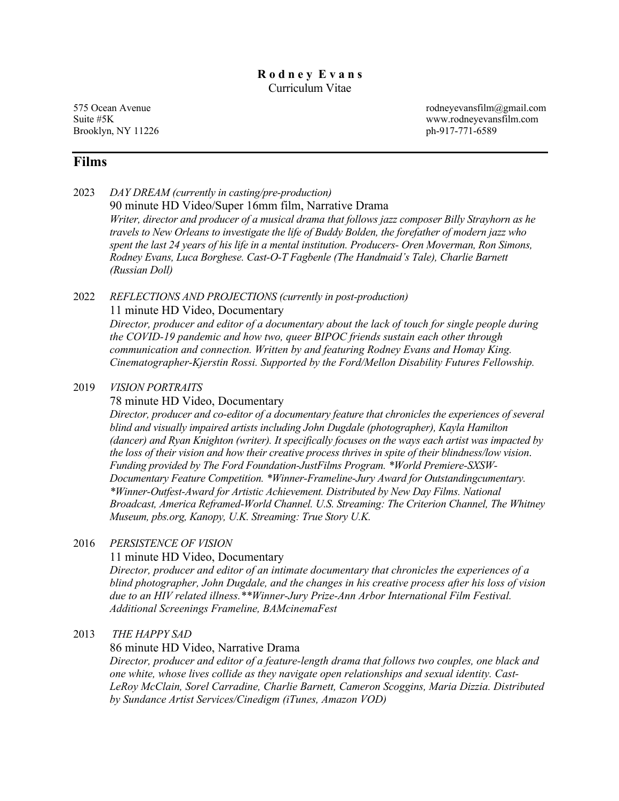## **R o d n e y E v a n s** Curriculum Vitae

Brooklyn, NY 11226 ph-917-771-6589

575 Ocean Avenue rodneyevansfilm@gmail.com Suite #5K www.rodneyevansfilm.com

## **Films**

2023 *DAY DREAM (currently in casting/pre-production)* 90 minute HD Video/Super 16mm film, Narrative Drama *Writer, director and producer of a musical drama that follows jazz composer Billy Strayhorn as he travels to New Orleans to investigate the life of Buddy Bolden, the forefather of modern jazz who spent the last 24 years of his life in a mental institution. Producers- Oren Moverman, Ron Simons, Rodney Evans, Luca Borghese. Cast-O-T Fagbenle (The Handmaid's Tale), Charlie Barnett (Russian Doll)*

#### 2022 *REFLECTIONS AND PROJECTIONS (currently in post-production)* 11 minute HD Video, Documentary

*Director, producer and editor of a documentary about the lack of touch for single people during the COVID-19 pandemic and how two, queer BIPOC friends sustain each other through communication and connection. Written by and featuring Rodney Evans and Homay King. Cinematographer-Kjerstin Rossi. Supported by the Ford/Mellon Disability Futures Fellowship.*

## 2019 *VISION PORTRAITS*

### 78 minute HD Video, Documentary

*Director, producer and co-editor of a documentary feature that chronicles the experiences of several blind and visually impaired artists including John Dugdale (photographer), Kayla Hamilton (dancer) and Ryan Knighton (writer). It specifically focuses on the ways each artist was impacted by the loss of their vision and how their creative process thrives in spite of their blindness/low vision*. *Funding provided by The Ford Foundation-JustFilms Program. \*World Premiere-SXSW-Documentary Feature Competition. \*Winner-Frameline-Jury Award for Outstandingcumentary. \*Winner-Outfest-Award for Artistic Achievement. Distributed by New Day Films. National Broadcast, America Reframed-World Channel. U.S. Streaming: The Criterion Channel, The Whitney Museum, pbs.org, Kanopy, U.K. Streaming: True Story U.K.*

## 2016 *PERSISTENCE OF VISION*

### 11 minute HD Video, Documentary

*Director, producer and editor of an intimate documentary that chronicles the experiences of a blind photographer, John Dugdale, and the changes in his creative process after his loss of vision due to an HIV related illness.\*\*Winner-Jury Prize-Ann Arbor International Film Festival. Additional Screenings Frameline, BAMcinemaFest*

## 2013 *THE HAPPY SAD*

### 86 minute HD Video, Narrative Drama

*Director, producer and editor of a feature-length drama that follows two couples, one black and one white, whose lives collide as they navigate open relationships and sexual identity. Cast-LeRoy McClain, Sorel Carradine, Charlie Barnett, Cameron Scoggins, Maria Dizzia. Distributed by Sundance Artist Services/Cinedigm (iTunes, Amazon VOD)*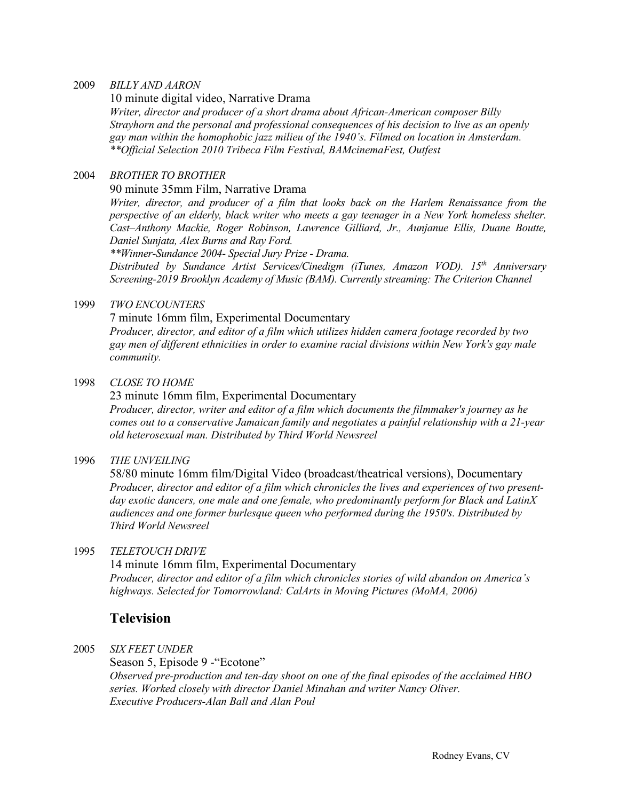#### 2009 *BILLY AND AARON*

10 minute digital video, Narrative Drama

*Writer, director and producer of a short drama about African-American composer Billy Strayhorn and the personal and professional consequences of his decision to live as an openly gay man within the homophobic jazz milieu of the 1940's. Filmed on location in Amsterdam. \*\*Official Selection 2010 Tribeca Film Festival, BAMcinemaFest, Outfest*

#### 2004 *BROTHER TO BROTHER*

90 minute 35mm Film, Narrative Drama

*Writer, director, and producer of a film that looks back on the Harlem Renaissance from the perspective of an elderly, black writer who meets a gay teenager in a New York homeless shelter. Cast–Anthony Mackie, Roger Robinson, Lawrence Gilliard, Jr., Aunjanue Ellis, Duane Boutte, Daniel Sunjata, Alex Burns and Ray Ford.* 

*\*\*Winner-Sundance 2004- Special Jury Prize - Drama.* 

*Distributed by Sundance Artist Services/Cinedigm (iTunes, Amazon VOD). 15th Anniversary Screening-2019 Brooklyn Academy of Music (BAM). Currently streaming: The Criterion Channel*

#### 1999 *TWO ENCOUNTERS*

7 minute 16mm film, Experimental Documentary

*Producer, director, and editor of a film which utilizes hidden camera footage recorded by two gay men of different ethnicities in order to examine racial divisions within New York's gay male community.* 

#### 1998 *CLOSE TO HOME*

23 minute 16mm film, Experimental Documentary *Producer, director, writer and editor of a film which documents the filmmaker's journey as he comes out to a conservative Jamaican family and negotiates a painful relationship with a 21-year old heterosexual man. Distributed by Third World Newsreel*

### 1996 *THE UNVEILING*

58/80 minute 16mm film/Digital Video (broadcast/theatrical versions), Documentary *Producer, director and editor of a film which chronicles the lives and experiences of two presentday exotic dancers, one male and one female, who predominantly perform for Black and LatinX audiences and one former burlesque queen who performed during the 1950's. Distributed by Third World Newsreel*

## 1995 *TELETOUCH DRIVE*

14 minute 16mm film, Experimental Documentary *Producer, director and editor of a film which chronicles stories of wild abandon on America's highways. Selected for Tomorrowland: CalArts in Moving Pictures (MoMA, 2006)*

## **Television**

2005 *SIX FEET UNDER*

Season 5, Episode 9 - "Ecotone" *Observed pre-production and ten-day shoot on one of the final episodes of the acclaimed HBO series. Worked closely with director Daniel Minahan and writer Nancy Oliver. Executive Producers-Alan Ball and Alan Poul*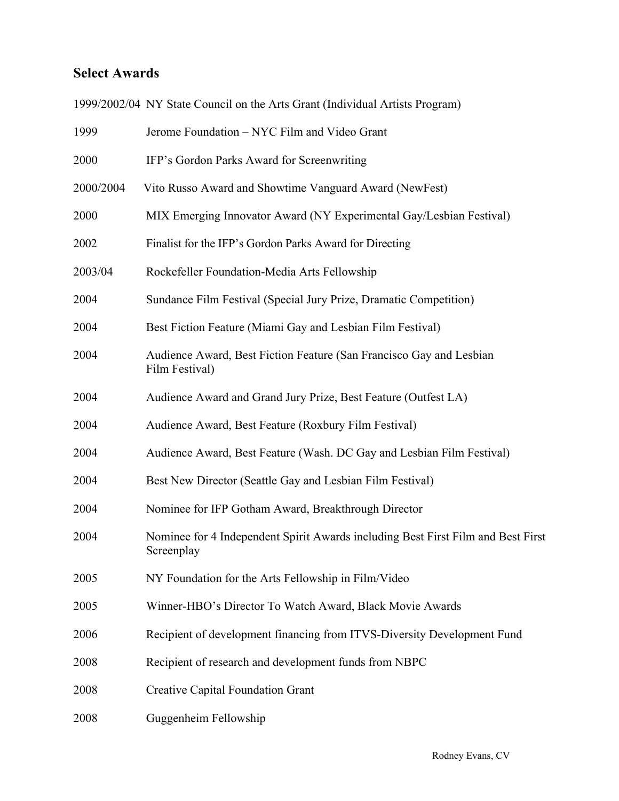## **Select Awards**

1999/2002/04 NY State Council on the Arts Grant (Individual Artists Program)

| 1999      | Jerome Foundation - NYC Film and Video Grant                                                   |
|-----------|------------------------------------------------------------------------------------------------|
| 2000      | IFP's Gordon Parks Award for Screenwriting                                                     |
| 2000/2004 | Vito Russo Award and Showtime Vanguard Award (NewFest)                                         |
| 2000      | MIX Emerging Innovator Award (NY Experimental Gay/Lesbian Festival)                            |
| 2002      | Finalist for the IFP's Gordon Parks Award for Directing                                        |
| 2003/04   | Rockefeller Foundation-Media Arts Fellowship                                                   |
| 2004      | Sundance Film Festival (Special Jury Prize, Dramatic Competition)                              |
| 2004      | Best Fiction Feature (Miami Gay and Lesbian Film Festival)                                     |
| 2004      | Audience Award, Best Fiction Feature (San Francisco Gay and Lesbian<br>Film Festival)          |
| 2004      | Audience Award and Grand Jury Prize, Best Feature (Outfest LA)                                 |
| 2004      | Audience Award, Best Feature (Roxbury Film Festival)                                           |
| 2004      | Audience Award, Best Feature (Wash. DC Gay and Lesbian Film Festival)                          |
| 2004      | Best New Director (Seattle Gay and Lesbian Film Festival)                                      |
| 2004      | Nominee for IFP Gotham Award, Breakthrough Director                                            |
| 2004      | Nominee for 4 Independent Spirit Awards including Best First Film and Best First<br>Screenplay |
| 2005      | NY Foundation for the Arts Fellowship in Film/Video                                            |
| 2005      | Winner-HBO's Director To Watch Award, Black Movie Awards                                       |
| 2006      | Recipient of development financing from ITVS-Diversity Development Fund                        |
| 2008      | Recipient of research and development funds from NBPC                                          |
| 2008      | <b>Creative Capital Foundation Grant</b>                                                       |
| 2008      | Guggenheim Fellowship                                                                          |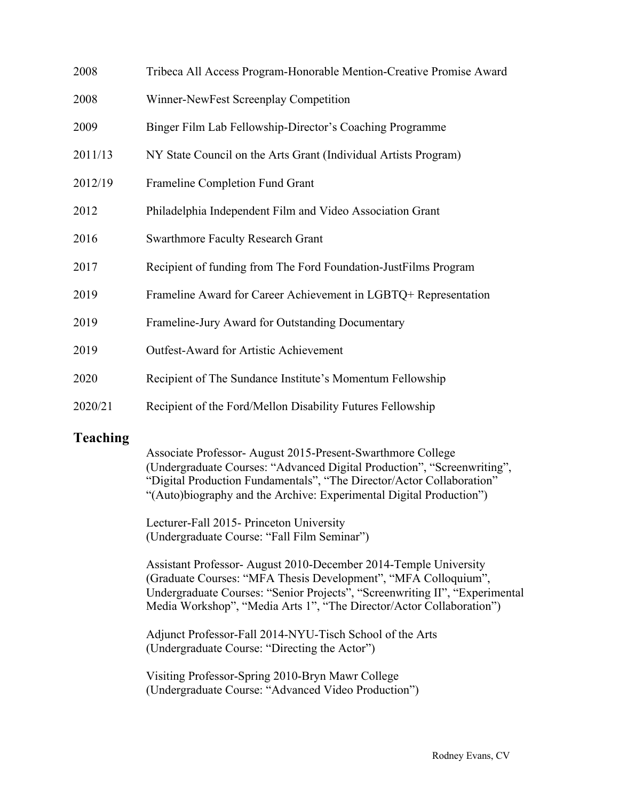| 2008    | Tribeca All Access Program-Honorable Mention-Creative Promise Award |
|---------|---------------------------------------------------------------------|
| 2008    | Winner-NewFest Screenplay Competition                               |
| 2009    | Binger Film Lab Fellowship-Director's Coaching Programme            |
| 2011/13 | NY State Council on the Arts Grant (Individual Artists Program)     |
| 2012/19 | Frameline Completion Fund Grant                                     |
| 2012    | Philadelphia Independent Film and Video Association Grant           |
| 2016    | <b>Swarthmore Faculty Research Grant</b>                            |
| 2017    | Recipient of funding from The Ford Foundation-Just Films Program    |
| 2019    | Frameline Award for Career Achievement in LGBTQ+ Representation     |
| 2019    | Frameline-Jury Award for Outstanding Documentary                    |
| 2019    | <b>Outfest-Award for Artistic Achievement</b>                       |
| 2020    | Recipient of The Sundance Institute's Momentum Fellowship           |
| 2020/21 | Recipient of the Ford/Mellon Disability Futures Fellowship          |

## **Teaching**

Associate Professor- August 2015-Present-Swarthmore College (Undergraduate Courses: "Advanced Digital Production", "Screenwriting", "Digital Production Fundamentals", "The Director/Actor Collaboration" "(Auto)biography and the Archive: Experimental Digital Production")

Lecturer-Fall 2015- Princeton University (Undergraduate Course: "Fall Film Seminar")

Assistant Professor- August 2010-December 2014-Temple University (Graduate Courses: "MFA Thesis Development", "MFA Colloquium", Undergraduate Courses: "Senior Projects", "Screenwriting II", "Experimental Media Workshop", "Media Arts 1", "The Director/Actor Collaboration")

Adjunct Professor-Fall 2014-NYU-Tisch School of the Arts (Undergraduate Course: "Directing the Actor")

Visiting Professor-Spring 2010-Bryn Mawr College (Undergraduate Course: "Advanced Video Production")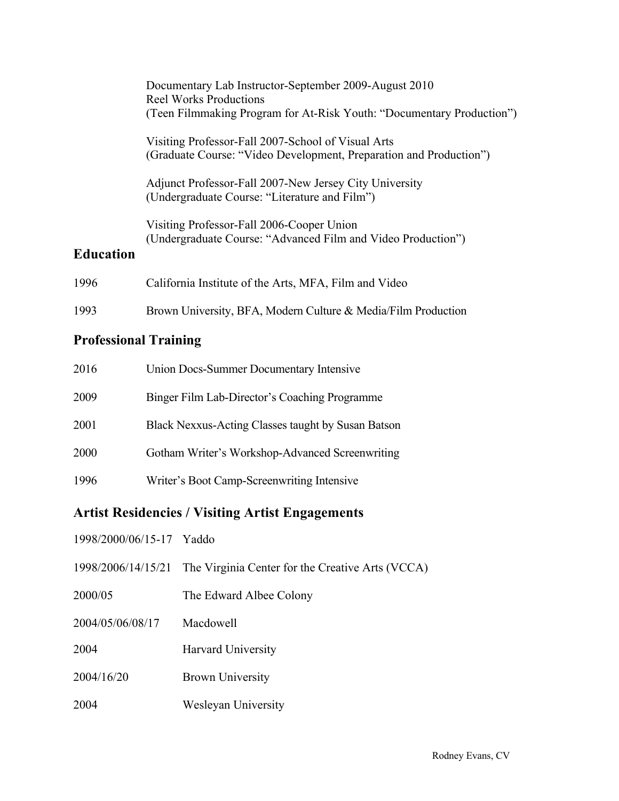|                  | Documentary Lab Instructor-September 2009-August 2010<br>Reel Works Productions<br>(Teen Filmmaking Program for At-Risk Youth: "Documentary Production") |
|------------------|----------------------------------------------------------------------------------------------------------------------------------------------------------|
|                  | Visiting Professor-Fall 2007-School of Visual Arts<br>(Graduate Course: "Video Development, Preparation and Production")                                 |
|                  | Adjunct Professor-Fall 2007-New Jersey City University<br>(Undergraduate Course: "Literature and Film")                                                  |
| <b>Education</b> | Visiting Professor-Fall 2006-Cooper Union<br>(Undergraduate Course: "Advanced Film and Video Production")                                                |
| 1996             | California Institute of the Arts, MFA, Film and Video                                                                                                    |
| 1993             | Brown University, BFA, Modern Culture & Media/Film Production                                                                                            |

## **Professional Training**

| 2016 | Union Docs-Summer Documentary Intensive            |
|------|----------------------------------------------------|
| 2009 | Binger Film Lab-Director's Coaching Programme      |
| 2001 | Black Nexxus-Acting Classes taught by Susan Batson |
| 2000 | Gotham Writer's Workshop-Advanced Screenwriting    |
| 1996 | Writer's Boot Camp-Screenwriting Intensive         |

## **Artist Residencies / Visiting Artist Engagements**

| 1998/2000/06/15-17 Yaddo |                                                                     |
|--------------------------|---------------------------------------------------------------------|
|                          | 1998/2006/14/15/21 The Virginia Center for the Creative Arts (VCCA) |
| 2000/05                  | The Edward Albee Colony                                             |
| 2004/05/06/08/17         | Macdowell                                                           |
| 2004                     | <b>Harvard University</b>                                           |
| 2004/16/20               | <b>Brown University</b>                                             |
| 2004                     | Wesleyan University                                                 |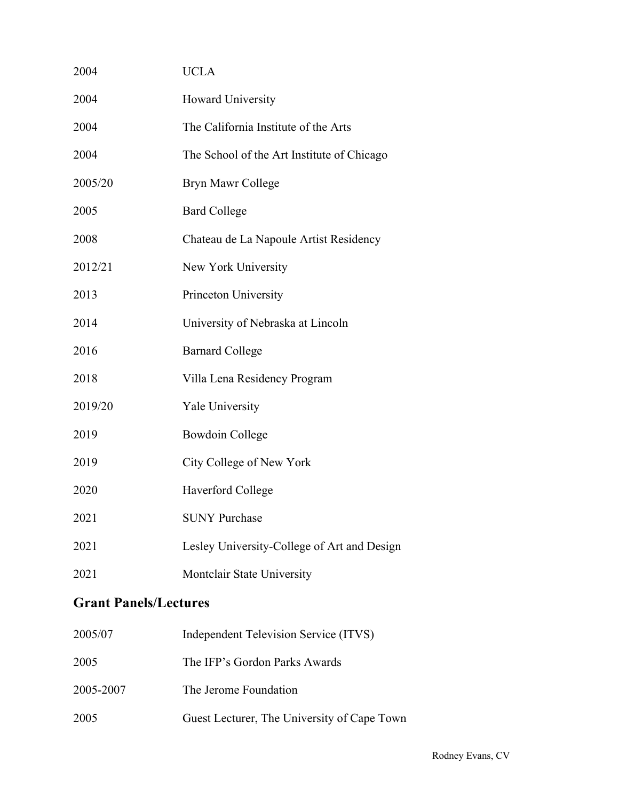| 2004    | <b>UCLA</b>                                 |
|---------|---------------------------------------------|
| 2004    | Howard University                           |
| 2004    | The California Institute of the Arts        |
| 2004    | The School of the Art Institute of Chicago  |
| 2005/20 | Bryn Mawr College                           |
| 2005    | <b>Bard College</b>                         |
| 2008    | Chateau de La Napoule Artist Residency      |
| 2012/21 | New York University                         |
| 2013    | Princeton University                        |
| 2014    | University of Nebraska at Lincoln           |
| 2016    | <b>Barnard College</b>                      |
| 2018    | Villa Lena Residency Program                |
| 2019/20 | <b>Yale University</b>                      |
| 2019    | <b>Bowdoin College</b>                      |
| 2019    | City College of New York                    |
| 2020    | Haverford College                           |
| 2021    | <b>SUNY Purchase</b>                        |
| 2021    | Lesley University-College of Art and Design |
| 2021    | Montclair State University                  |

## **Grant Panels/Lectures**

| 2005/07   | Independent Television Service (ITVS)       |
|-----------|---------------------------------------------|
| 2005      | The IFP's Gordon Parks Awards               |
| 2005-2007 | The Jerome Foundation                       |
| 2005      | Guest Lecturer, The University of Cape Town |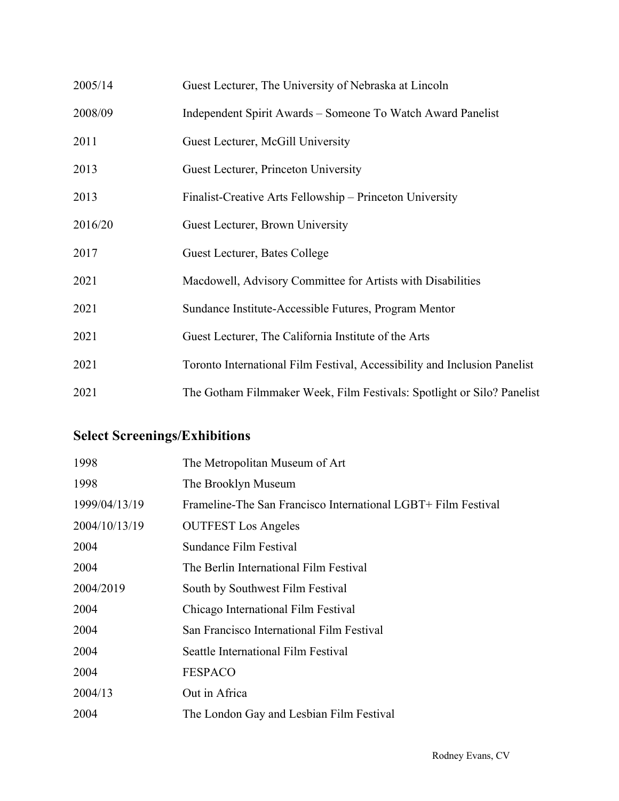| 2005/14 | Guest Lecturer, The University of Nebraska at Lincoln                     |
|---------|---------------------------------------------------------------------------|
| 2008/09 | Independent Spirit Awards – Someone To Watch Award Panelist               |
| 2011    | Guest Lecturer, McGill University                                         |
| 2013    | Guest Lecturer, Princeton University                                      |
| 2013    | Finalist-Creative Arts Fellowship – Princeton University                  |
| 2016/20 | Guest Lecturer, Brown University                                          |
| 2017    | Guest Lecturer, Bates College                                             |
| 2021    | Macdowell, Advisory Committee for Artists with Disabilities               |
| 2021    | Sundance Institute-Accessible Futures, Program Mentor                     |
| 2021    | Guest Lecturer, The California Institute of the Arts                      |
| 2021    | Toronto International Film Festival, Accessibility and Inclusion Panelist |
| 2021    | The Gotham Filmmaker Week, Film Festivals: Spotlight or Silo? Panelist    |

# **Select Screenings/Exhibitions**

| 1998          | The Metropolitan Museum of Art                                |
|---------------|---------------------------------------------------------------|
| 1998          | The Brooklyn Museum                                           |
| 1999/04/13/19 | Frameline-The San Francisco International LGBT+ Film Festival |
| 2004/10/13/19 | <b>OUTFEST</b> Los Angeles                                    |
| 2004          | Sundance Film Festival                                        |
| 2004          | The Berlin International Film Festival                        |
| 2004/2019     | South by Southwest Film Festival                              |
| 2004          | Chicago International Film Festival                           |
| 2004          | San Francisco International Film Festival                     |
| 2004          | Seattle International Film Festival                           |
| 2004          | <b>FESPACO</b>                                                |
| 2004/13       | Out in Africa                                                 |
| 2004          | The London Gay and Lesbian Film Festival                      |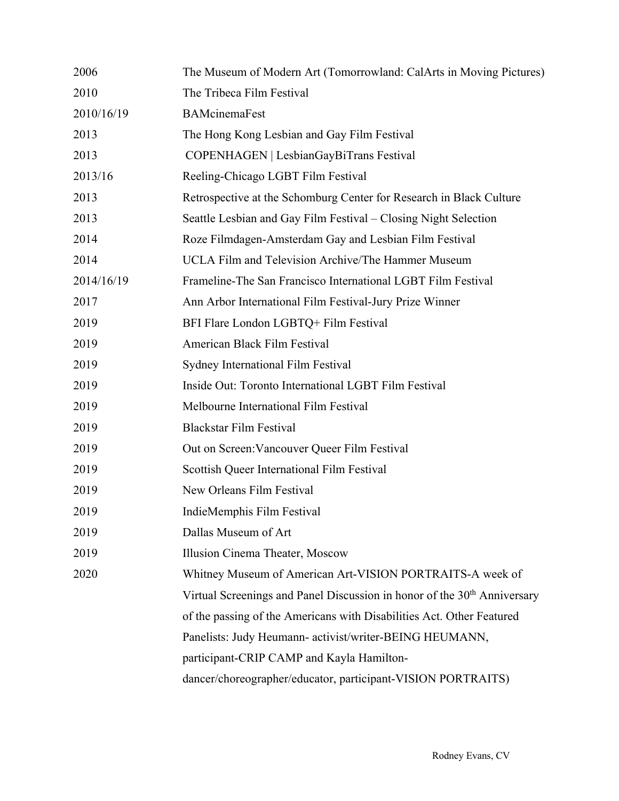| 2006       | The Museum of Modern Art (Tomorrowland: CalArts in Moving Pictures)                  |
|------------|--------------------------------------------------------------------------------------|
| 2010       | The Tribeca Film Festival                                                            |
| 2010/16/19 | <b>BAMcinemaFest</b>                                                                 |
| 2013       | The Hong Kong Lesbian and Gay Film Festival                                          |
| 2013       | COPENHAGEN   LesbianGayBiTrans Festival                                              |
| 2013/16    | Reeling-Chicago LGBT Film Festival                                                   |
| 2013       | Retrospective at the Schomburg Center for Research in Black Culture                  |
| 2013       | Seattle Lesbian and Gay Film Festival – Closing Night Selection                      |
| 2014       | Roze Filmdagen-Amsterdam Gay and Lesbian Film Festival                               |
| 2014       | UCLA Film and Television Archive/The Hammer Museum                                   |
| 2014/16/19 | Frameline-The San Francisco International LGBT Film Festival                         |
| 2017       | Ann Arbor International Film Festival-Jury Prize Winner                              |
| 2019       | BFI Flare London LGBTQ+ Film Festival                                                |
| 2019       | American Black Film Festival                                                         |
| 2019       | Sydney International Film Festival                                                   |
| 2019       | Inside Out: Toronto International LGBT Film Festival                                 |
| 2019       | Melbourne International Film Festival                                                |
| 2019       | <b>Blackstar Film Festival</b>                                                       |
| 2019       | Out on Screen: Vancouver Queer Film Festival                                         |
| 2019       | Scottish Queer International Film Festival                                           |
| 2019       | New Orleans Film Festival                                                            |
| 2019       | IndieMemphis Film Festival                                                           |
| 2019       | Dallas Museum of Art                                                                 |
| 2019       | Illusion Cinema Theater, Moscow                                                      |
| 2020       | Whitney Museum of American Art-VISION PORTRAITS-A week of                            |
|            | Virtual Screenings and Panel Discussion in honor of the 30 <sup>th</sup> Anniversary |
|            | of the passing of the Americans with Disabilities Act. Other Featured                |
|            | Panelists: Judy Heumann- activist/writer-BEING HEUMANN,                              |
|            | participant-CRIP CAMP and Kayla Hamilton-                                            |
|            | dancer/choreographer/educator, participant-VISION PORTRAITS)                         |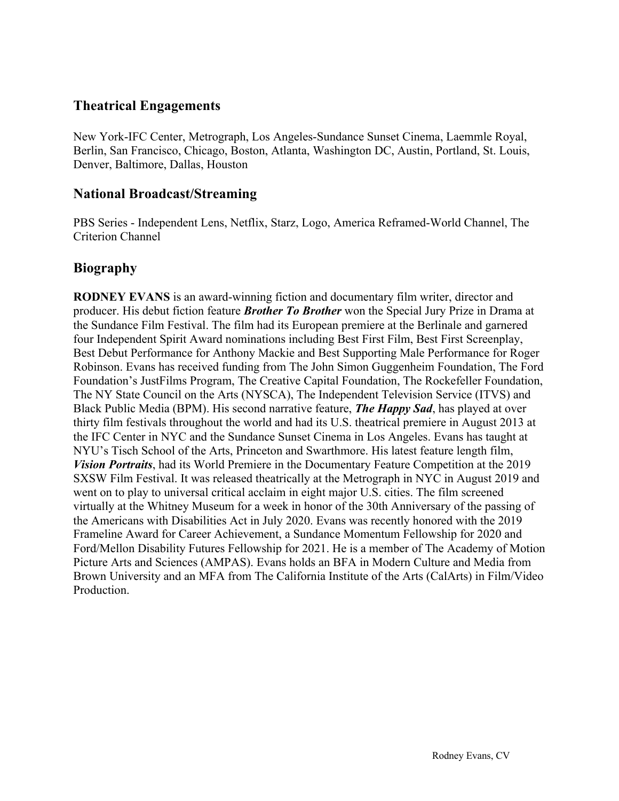## **Theatrical Engagements**

New York-IFC Center, Metrograph, Los Angeles-Sundance Sunset Cinema, Laemmle Royal, Berlin, San Francisco, Chicago, Boston, Atlanta, Washington DC, Austin, Portland, St. Louis, Denver, Baltimore, Dallas, Houston

## **National Broadcast/Streaming**

PBS Series - Independent Lens, Netflix, Starz, Logo, America Reframed-World Channel, The Criterion Channel

## **Biography**

**RODNEY EVANS** is an award-winning fiction and documentary film writer, director and producer. His debut fiction feature *Brother To Brother* won the Special Jury Prize in Drama at the Sundance Film Festival. The film had its European premiere at the Berlinale and garnered four Independent Spirit Award nominations including Best First Film, Best First Screenplay, Best Debut Performance for Anthony Mackie and Best Supporting Male Performance for Roger Robinson. Evans has received funding from The John Simon Guggenheim Foundation, The Ford Foundation's JustFilms Program, The Creative Capital Foundation, The Rockefeller Foundation, The NY State Council on the Arts (NYSCA), The Independent Television Service (ITVS) and Black Public Media (BPM). His second narrative feature, *The Happy Sad*, has played at over thirty film festivals throughout the world and had its U.S. theatrical premiere in August 2013 at the IFC Center in NYC and the Sundance Sunset Cinema in Los Angeles. Evans has taught at NYU's Tisch School of the Arts, Princeton and Swarthmore. His latest feature length film, *Vision Portraits*, had its World Premiere in the Documentary Feature Competition at the 2019 SXSW Film Festival. It was released theatrically at the Metrograph in NYC in August 2019 and went on to play to universal critical acclaim in eight major U.S. cities. The film screened virtually at the Whitney Museum for a week in honor of the 30th Anniversary of the passing of the Americans with Disabilities Act in July 2020. Evans was recently honored with the 2019 Frameline Award for Career Achievement, a Sundance Momentum Fellowship for 2020 and Ford/Mellon Disability Futures Fellowship for 2021. He is a member of The Academy of Motion Picture Arts and Sciences (AMPAS). Evans holds an BFA in Modern Culture and Media from Brown University and an MFA from The California Institute of the Arts (CalArts) in Film/Video Production.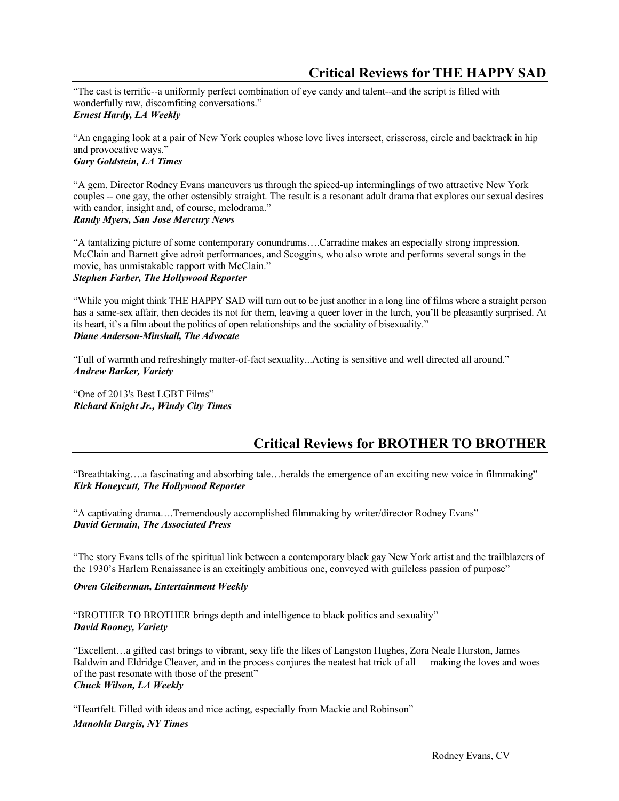## **Critical Reviews for THE HAPPY SAD**

"The cast is terrific--a uniformly perfect combination of eye candy and talent--and the script is filled with wonderfully raw, discomfiting conversations." *Ernest Hardy, LA Weekly*

"An engaging look at a pair of New York couples whose love lives intersect, crisscross, circle and backtrack in hip and provocative ways." *Gary Goldstein, LA Times*

"A gem. Director Rodney Evans maneuvers us through the spiced-up interminglings of two attractive New York couples -- one gay, the other ostensibly straight. The result is a resonant adult drama that explores our sexual desires with candor, insight and, of course, melodrama." *Randy Myers, San Jose Mercury News*

"A tantalizing picture of some contemporary conundrums….Carradine makes an especially strong impression. McClain and Barnett give adroit performances, and Scoggins, who also wrote and performs several songs in the movie, has unmistakable rapport with McClain." *Stephen Farber, The Hollywood Reporter*

"While you might think THE HAPPY SAD will turn out to be just another in a long line of films where a straight person has a same-sex affair, then decides its not for them, leaving a queer lover in the lurch, you'll be pleasantly surprised. At its heart, it's a film about the politics of open relationships and the sociality of bisexuality." *Diane Anderson-Minshall, The Advocate*

"Full of warmth and refreshingly matter-of-fact sexuality...Acting is sensitive and well directed all around." *Andrew Barker, Variety*

"One of 2013's Best LGBT Films" *Richard Knight Jr., Windy City Times*

## **Critical Reviews for BROTHER TO BROTHER**

"Breathtaking….a fascinating and absorbing tale…heralds the emergence of an exciting new voice in filmmaking" *Kirk Honeycutt, The Hollywood Reporter*

"A captivating drama….Tremendously accomplished filmmaking by writer/director Rodney Evans" *David Germain, The Associated Press*

"The story Evans tells of the spiritual link between a contemporary black gay New York artist and the trailblazers of the 1930's Harlem Renaissance is an excitingly ambitious one, conveyed with guileless passion of purpose"

*Owen Gleiberman, Entertainment Weekly*

"BROTHER TO BROTHER brings depth and intelligence to black politics and sexuality" *David Rooney, Variety* 

"Excellent…a gifted cast brings to vibrant, sexy life the likes of Langston Hughes, Zora Neale Hurston, James Baldwin and Eldridge Cleaver, and in the process conjures the neatest hat trick of all — making the loves and woes of the past resonate with those of the present" *Chuck Wilson, LA Weekly*

"Heartfelt. Filled with ideas and nice acting, especially from Mackie and Robinson"

*Manohla Dargis, NY Times*